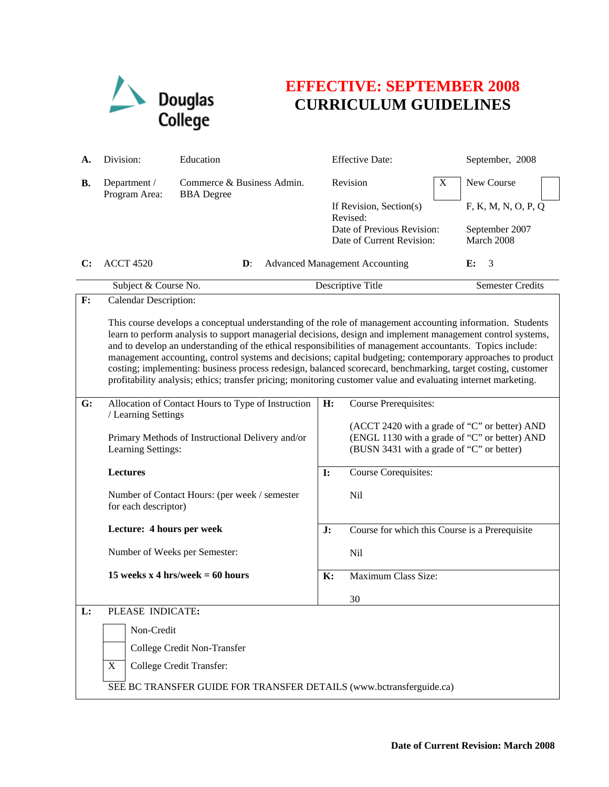

## **EFFECTIVE: SEPTEMBER 2008 CURRICULUM GUIDELINES**

| А.             | Division:                                                                                                                                                                                                                                                                                                                                                                                                                                                                                                                                                                                                                                                                                | Education                                       |           | <b>Effective Date:</b>                                                                                                                      |   | September, 2008              |
|----------------|------------------------------------------------------------------------------------------------------------------------------------------------------------------------------------------------------------------------------------------------------------------------------------------------------------------------------------------------------------------------------------------------------------------------------------------------------------------------------------------------------------------------------------------------------------------------------------------------------------------------------------------------------------------------------------------|-------------------------------------------------|-----------|---------------------------------------------------------------------------------------------------------------------------------------------|---|------------------------------|
| В.             | Department /<br>Program Area:                                                                                                                                                                                                                                                                                                                                                                                                                                                                                                                                                                                                                                                            | Commerce & Business Admin.<br><b>BBA</b> Degree |           | Revision                                                                                                                                    | X | New Course                   |
|                |                                                                                                                                                                                                                                                                                                                                                                                                                                                                                                                                                                                                                                                                                          |                                                 |           | If Revision, Section(s)                                                                                                                     |   | F, K, M, N, O, P, Q          |
|                |                                                                                                                                                                                                                                                                                                                                                                                                                                                                                                                                                                                                                                                                                          |                                                 |           | Revised:<br>Date of Previous Revision:<br>Date of Current Revision:                                                                         |   | September 2007<br>March 2008 |
| $\mathbf{C}$ : | <b>ACCT 4520</b>                                                                                                                                                                                                                                                                                                                                                                                                                                                                                                                                                                                                                                                                         | $\mathbf{D}$ :                                  |           | <b>Advanced Management Accounting</b>                                                                                                       |   | 3<br>E:                      |
|                | Subject & Course No.                                                                                                                                                                                                                                                                                                                                                                                                                                                                                                                                                                                                                                                                     |                                                 |           | Descriptive Title                                                                                                                           |   | <b>Semester Credits</b>      |
| $\mathbf{F}$ : | <b>Calendar Description:</b>                                                                                                                                                                                                                                                                                                                                                                                                                                                                                                                                                                                                                                                             |                                                 |           |                                                                                                                                             |   |                              |
|                | This course develops a conceptual understanding of the role of management accounting information. Students<br>learn to perform analysis to support managerial decisions, design and implement management control systems,<br>and to develop an understanding of the ethical responsibilities of management accountants. Topics include:<br>management accounting, control systems and decisions; capital budgeting; contemporary approaches to product<br>costing; implementing: business process redesign, balanced scorecard, benchmarking, target costing, customer<br>profitability analysis; ethics; transfer pricing; monitoring customer value and evaluating internet marketing. |                                                 |           |                                                                                                                                             |   |                              |
| G:             | Allocation of Contact Hours to Type of Instruction<br>H:<br><b>Course Prerequisites:</b><br>/ Learning Settings<br>Primary Methods of Instructional Delivery and/or<br>Learning Settings:                                                                                                                                                                                                                                                                                                                                                                                                                                                                                                |                                                 |           |                                                                                                                                             |   |                              |
|                |                                                                                                                                                                                                                                                                                                                                                                                                                                                                                                                                                                                                                                                                                          |                                                 |           | (ACCT 2420 with a grade of "C" or better) AND<br>(ENGL 1130 with a grade of "C" or better) AND<br>(BUSN 3431 with a grade of "C" or better) |   |                              |
|                | <b>Lectures</b>                                                                                                                                                                                                                                                                                                                                                                                                                                                                                                                                                                                                                                                                          |                                                 | <b>I:</b> | Course Corequisites:                                                                                                                        |   |                              |
|                | Number of Contact Hours: (per week / semester<br>for each descriptor)                                                                                                                                                                                                                                                                                                                                                                                                                                                                                                                                                                                                                    |                                                 |           | <b>Nil</b>                                                                                                                                  |   |                              |
|                | Lecture: 4 hours per week                                                                                                                                                                                                                                                                                                                                                                                                                                                                                                                                                                                                                                                                |                                                 | J:        | Course for which this Course is a Prerequisite                                                                                              |   |                              |
|                | Number of Weeks per Semester:                                                                                                                                                                                                                                                                                                                                                                                                                                                                                                                                                                                                                                                            |                                                 |           | <b>Nil</b>                                                                                                                                  |   |                              |
|                |                                                                                                                                                                                                                                                                                                                                                                                                                                                                                                                                                                                                                                                                                          | 15 weeks x 4 hrs/week $= 60$ hours              | K:        | Maximum Class Size:                                                                                                                         |   |                              |
|                |                                                                                                                                                                                                                                                                                                                                                                                                                                                                                                                                                                                                                                                                                          |                                                 |           | 30                                                                                                                                          |   |                              |
| L:             | PLEASE INDICATE:                                                                                                                                                                                                                                                                                                                                                                                                                                                                                                                                                                                                                                                                         |                                                 |           |                                                                                                                                             |   |                              |
|                |                                                                                                                                                                                                                                                                                                                                                                                                                                                                                                                                                                                                                                                                                          | Non-Credit                                      |           |                                                                                                                                             |   |                              |
|                |                                                                                                                                                                                                                                                                                                                                                                                                                                                                                                                                                                                                                                                                                          | College Credit Non-Transfer                     |           |                                                                                                                                             |   |                              |
|                | X                                                                                                                                                                                                                                                                                                                                                                                                                                                                                                                                                                                                                                                                                        | College Credit Transfer:                        |           |                                                                                                                                             |   |                              |
|                | SEE BC TRANSFER GUIDE FOR TRANSFER DETAILS (www.bctransferguide.ca)                                                                                                                                                                                                                                                                                                                                                                                                                                                                                                                                                                                                                      |                                                 |           |                                                                                                                                             |   |                              |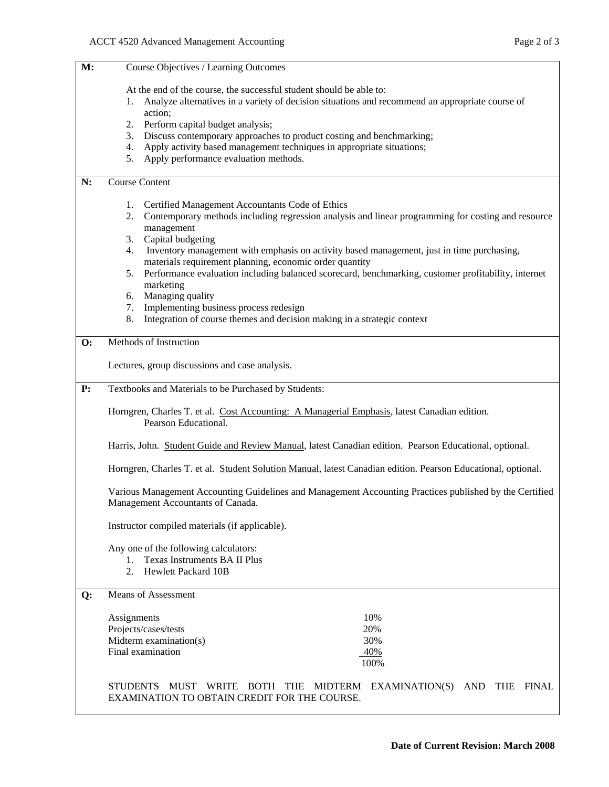| M:        | Course Objectives / Learning Outcomes                                                                            |                                                                                                       |  |  |  |  |
|-----------|------------------------------------------------------------------------------------------------------------------|-------------------------------------------------------------------------------------------------------|--|--|--|--|
|           | At the end of the course, the successful student should be able to:                                              |                                                                                                       |  |  |  |  |
|           | Analyze alternatives in a variety of decision situations and recommend an appropriate course of<br>1.<br>action: |                                                                                                       |  |  |  |  |
|           | 2.                                                                                                               | Perform capital budget analysis;                                                                      |  |  |  |  |
|           | 3.                                                                                                               | Discuss contemporary approaches to product costing and benchmarking;                                  |  |  |  |  |
|           | 4.                                                                                                               | Apply activity based management techniques in appropriate situations;                                 |  |  |  |  |
|           | 5.                                                                                                               | Apply performance evaluation methods.                                                                 |  |  |  |  |
| N:        | <b>Course Content</b>                                                                                            |                                                                                                       |  |  |  |  |
|           | 1.                                                                                                               | Certified Management Accountants Code of Ethics                                                       |  |  |  |  |
|           |                                                                                                                  | 2. Contemporary methods including regression analysis and linear programming for costing and resource |  |  |  |  |
|           |                                                                                                                  | management                                                                                            |  |  |  |  |
|           | 3.                                                                                                               | Capital budgeting                                                                                     |  |  |  |  |
|           | 4.                                                                                                               | Inventory management with emphasis on activity based management, just in time purchasing,             |  |  |  |  |
|           | materials requirement planning, economic order quantity                                                          |                                                                                                       |  |  |  |  |
|           | 5.                                                                                                               | Performance evaluation including balanced scorecard, benchmarking, customer profitability, internet   |  |  |  |  |
|           |                                                                                                                  | marketing                                                                                             |  |  |  |  |
|           | 6.                                                                                                               | Managing quality                                                                                      |  |  |  |  |
|           | 7.                                                                                                               | Implementing business process redesign                                                                |  |  |  |  |
|           | 8.                                                                                                               | Integration of course themes and decision making in a strategic context                               |  |  |  |  |
| <b>O:</b> | Methods of Instruction                                                                                           |                                                                                                       |  |  |  |  |
|           |                                                                                                                  |                                                                                                       |  |  |  |  |
|           | Lectures, group discussions and case analysis.                                                                   |                                                                                                       |  |  |  |  |
|           |                                                                                                                  |                                                                                                       |  |  |  |  |
| P:        | Textbooks and Materials to be Purchased by Students:                                                             |                                                                                                       |  |  |  |  |
|           | Horngren, Charles T. et al. Cost Accounting: A Managerial Emphasis, latest Canadian edition.                     |                                                                                                       |  |  |  |  |
|           | Pearson Educational.                                                                                             |                                                                                                       |  |  |  |  |
|           | Harris, John. Student Guide and Review Manual, latest Canadian edition. Pearson Educational, optional.           |                                                                                                       |  |  |  |  |
|           | Horngren, Charles T. et al. Student Solution Manual, latest Canadian edition. Pearson Educational, optional.     |                                                                                                       |  |  |  |  |
|           | Various Management Accounting Guidelines and Management Accounting Practices published by the Certified          |                                                                                                       |  |  |  |  |
|           | Management Accountants of Canada.                                                                                |                                                                                                       |  |  |  |  |
|           | Instructor compiled materials (if applicable).                                                                   |                                                                                                       |  |  |  |  |
|           | Any one of the following calculators:                                                                            |                                                                                                       |  |  |  |  |
|           | 1. Texas Instruments BA II Plus                                                                                  |                                                                                                       |  |  |  |  |
|           | 2.                                                                                                               | Hewlett Packard 10B                                                                                   |  |  |  |  |
|           |                                                                                                                  |                                                                                                       |  |  |  |  |
| Q:        |                                                                                                                  | Means of Assessment                                                                                   |  |  |  |  |
|           | Assignments                                                                                                      | 10%                                                                                                   |  |  |  |  |
|           |                                                                                                                  | Projects/cases/tests<br>20%                                                                           |  |  |  |  |
|           |                                                                                                                  | Midterm examination(s)<br>30%                                                                         |  |  |  |  |
|           |                                                                                                                  | Final examination<br>40%                                                                              |  |  |  |  |
|           |                                                                                                                  | 100%                                                                                                  |  |  |  |  |
|           |                                                                                                                  |                                                                                                       |  |  |  |  |
|           | <b>STUDENTS</b>                                                                                                  | MUST WRITE BOTH THE MIDTERM EXAMINATION(S)<br>AND THE FINAL                                           |  |  |  |  |
|           | EXAMINATION TO OBTAIN CREDIT FOR THE COURSE.                                                                     |                                                                                                       |  |  |  |  |